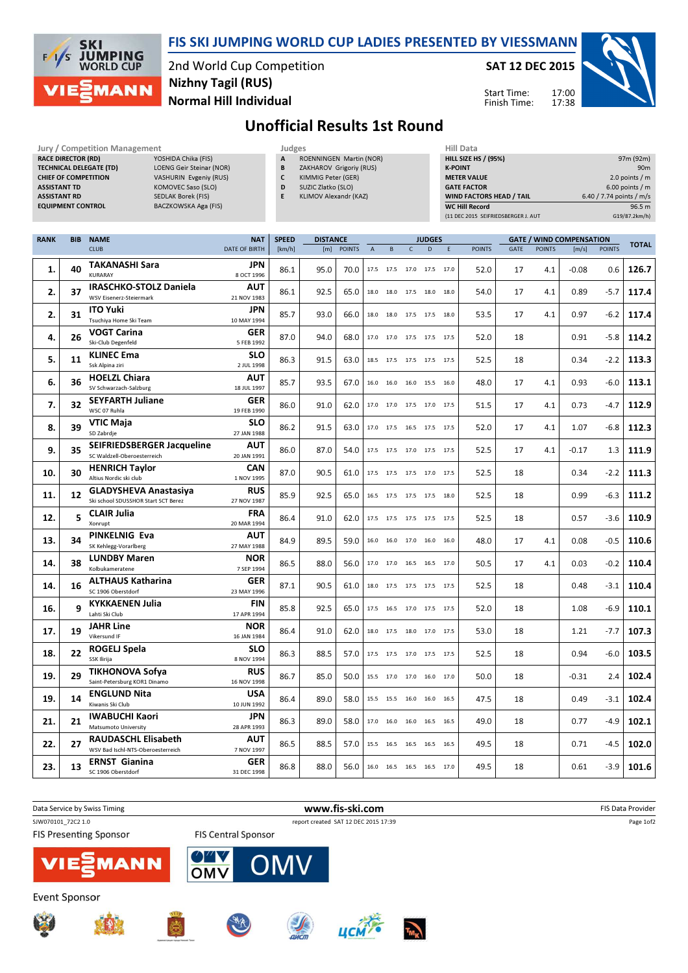

## FIS SKI JUMPING WORLD CUP LADIES PRESENTED BY VIESSMANN

2nd World Cup Competition Normal Hill Individual Nizhny Tagil (RUS)

SAT 12 DEC 2015

Start Time: Finish Time:



## Unofficial Results 1st Round

| Jury / Competition Management  |              |
|--------------------------------|--------------|
| <b>RACE DIRECTOR (RD)</b>      | YOSH         |
| <b>TECHNICAL DELEGATE (TD)</b> | <b>LOEN</b>  |
| <b>CHIEF OF COMPETITION</b>    | <b>VASH</b>  |
| <b>ASSISTANT TD</b>            | <b>KOM</b>   |
| <b>ASSISTANT RD</b>            | SEDL/        |
| <b>EQUIPMENT CONTROL</b>       | <b>BACZI</b> |

- Jury / Competition Management **Access 1996** Judges **Hill Data** IDA Chika (FIS) G Geir Steinar (NOR) URIN Evgeniy (RUS) DVEC Saso (SLO) AK Borek (FIS) KOWSKA Aga (FIS)
	- A ROENNINGEN Martin (NOR) **B** ZAKHAROV Grigoriy (RUS)
	- C KIMMIG Peter (GER)
	- D SUZIC Zlatko (SLO) E KLIMOV Alexandr (KAZ)
		-

| Hiii Data                           |                          |
|-------------------------------------|--------------------------|
| <b>HILL SIZE HS / (95%)</b>         | 97m (92m)                |
| <b>K-POINT</b>                      | 90 <sub>m</sub>          |
| <b>METER VALUE</b>                  | 2.0 points $/m$          |
| <b>GATE FACTOR</b>                  | $6.00$ points / m        |
| WIND FACTORS HEAD / TAIL            | 6.40 / 7.74 points / m/s |
| <b>WC Hill Record</b>               | 96.5 <sub>m</sub>        |
| (11 DEC 2015 SEIFRIEDSBERGER J. AUT | G19/87.2km/h)            |

17:00 17:38

| <b>RANK</b> | <b>BIB</b> | <b>NAME</b>                                                         | <b>NAT</b>                | <b>SPEED</b> | <b>DISTANCE</b> |               |                | <b>JUDGES</b>            |                |   |      | <b>GATE / WIND COMPENSATION</b> |      |               |         | <b>TOTAL</b>  |       |
|-------------|------------|---------------------------------------------------------------------|---------------------------|--------------|-----------------|---------------|----------------|--------------------------|----------------|---|------|---------------------------------|------|---------------|---------|---------------|-------|
|             |            | <b>CLUB</b>                                                         | <b>DATE OF BIRTH</b>      | [km/h]       | [m]             | <b>POINTS</b> | $\overline{A}$ | B                        | $\mathsf{C}$   | D | E    | <b>POINTS</b>                   | GATE | <b>POINTS</b> | [m/s]   | <b>POINTS</b> |       |
| 1.          | 40         | <b>TAKANASHI Sara</b><br><b>KURARAY</b>                             | <b>JPN</b><br>8 OCT 1996  | 86.1         | 95.0            | 70.0          |                | 17.5 17.5                | 17.0 17.5 17.0 |   |      | 52.0                            | 17   | 4.1           | $-0.08$ | 0.6           | 126.7 |
| 2.          | 37         | <b>IRASCHKO-STOLZ Daniela</b><br>WSV Eisenerz-Steiermark            | <b>AUT</b><br>21 NOV 1983 | 86.1         | 92.5            | 65.0          | 18.0           | 18.0                     | 17.5 18.0      |   | 18.0 | 54.0                            | 17   | 4.1           | 0.89    | $-5.7$        | 117.4 |
| 2.          | 31         | <b>ITO Yuki</b><br>Tsuchiya Home Ski Team                           | <b>JPN</b><br>10 MAY 1994 | 85.7         | 93.0            | 66.0          | 18.0           | 18.0                     | 17.5 17.5 18.0 |   |      | 53.5                            | 17   | 4.1           | 0.97    | $-6.2$        | 117.4 |
| 4.          | 26         | <b>VOGT Carina</b><br>Ski-Club Degenfeld                            | <b>GER</b><br>5 FEB 1992  | 87.0         | 94.0            | 68.0          |                | 17.0 17.0                | 17.5 17.5 17.5 |   |      | 52.0                            | 18   |               | 0.91    | $-5.8$        | 114.2 |
| 5.          | 11         | <b>KLINEC Ema</b><br>Ssk Alpina ziri                                | <b>SLO</b><br>2 JUL 1998  | 86.3         | 91.5            | 63.0          |                | 18.5 17.5 17.5 17.5 17.5 |                |   |      | 52.5                            | 18   |               | 0.34    | $-2.2$        | 113.3 |
| 6.          | 36         | <b>HOELZL Chiara</b><br>SV Schwarzach-Salzburg                      | <b>AUT</b><br>18 JUL 1997 | 85.7         | 93.5            | 67.0          | 16.0           | 16.0                     | 16.0 15.5      |   | 16.0 | 48.0                            | 17   | 4.1           | 0.93    | $-6.0$        | 113.1 |
| 7.          | 32         | <b>SEYFARTH Juliane</b><br>WSC 07 Ruhla                             | <b>GER</b><br>19 FEB 1990 | 86.0         | 91.0            | 62.0          |                | 17.0 17.0 17.5 17.0 17.5 |                |   |      | 51.5                            | 17   | 4.1           | 0.73    | $-4.7$        | 112.9 |
| 8.          | 39         | <b>VTIC Maja</b><br>SD Zabrdje                                      | <b>SLO</b><br>27 JAN 1988 | 86.2         | 91.5            | 63.0          |                | 17.0 17.5 16.5 17.5 17.5 |                |   |      | 52.0                            | 17   | 4.1           | 1.07    | -6.8          | 112.3 |
| 9.          | 35         | <b>SEIFRIEDSBERGER Jacqueline</b><br>SC Waldzell-Oberoesterreich    | <b>AUT</b><br>20 JAN 1991 | 86.0         | 87.0            | 54.0          |                | 17.5 17.5 17.0 17.5 17.5 |                |   |      | 52.5                            | 17   | 4.1           | $-0.17$ | 1.3           | 111.9 |
| 10.         | 30         | <b>HENRICH Taylor</b><br>Altius Nordic ski club                     | <b>CAN</b><br>1 NOV 1995  | 87.0         | 90.5            | 61.0          |                | 17.5 17.5 17.5 17.0 17.5 |                |   |      | 52.5                            | 18   |               | 0.34    | $-2.2$        | 111.3 |
| 11.         | 12         | <b>GLADYSHEVA Anastasiya</b><br>Ski school SDUSSHOR Start SCT Berez | <b>RUS</b><br>27 NOV 1987 | 85.9         | 92.5            | 65.0          |                | 16.5 17.5                | 17.5 17.5 18.0 |   |      | 52.5                            | 18   |               | 0.99    | $-6.3$        | 111.2 |
| 12.         | 5          | <b>CLAIR Julia</b><br>Xonrupt                                       | <b>FRA</b><br>20 MAR 1994 | 86.4         | 91.0            | 62.0          |                | 17.5 17.5                | 17.5 17.5      |   | 17.5 | 52.5                            | 18   |               | 0.57    | $-3.6$        | 110.9 |
| 13.         | 34         | <b>PINKELNIG Eva</b><br>SK Kehlegg-Vorarlberg                       | <b>AUT</b><br>27 MAY 1988 | 84.9         | 89.5            | 59.0          |                | 16.0 16.0                | 17.0 16.0      |   | 16.0 | 48.0                            | 17   | 4.1           | 0.08    | $-0.5$        | 110.6 |
| 14.         | 38         | <b>LUNDBY Maren</b><br>Kolbukameratene                              | NOR<br>7 SEP 1994         | 86.5         | 88.0            | 56.0          |                | 17.0 17.0                | 16.5 16.5 17.0 |   |      | 50.5                            | 17   | 4.1           | 0.03    | -0.2          | 110.4 |
| 14.         | 16         | <b>ALTHAUS Katharina</b><br>SC 1906 Oberstdorf                      | <b>GER</b><br>23 MAY 1996 | 87.1         | 90.5            | 61.0          |                | 18.0 17.5 17.5 17.5 17.5 |                |   |      | 52.5                            | 18   |               | 0.48    | -3.1          | 110.4 |
| 16.         | q          | <b>KYKKAENEN Julia</b><br>Lahti Ski Club                            | <b>FIN</b><br>17 APR 1994 | 85.8         | 92.5            | 65.0          |                | 17.5 16.5                | 17.0 17.5 17.5 |   |      | 52.0                            | 18   |               | 1.08    | $-6.9$        | 110.1 |
| 17.         | 19         | <b>JAHR Line</b><br>Vikersund IF                                    | <b>NOR</b><br>16 JAN 1984 | 86.4         | 91.0            | 62.0          |                | 18.0 17.5 18.0 17.0 17.5 |                |   |      | 53.0                            | 18   |               | 1.21    | $-7.7$        | 107.3 |
| 18.         | 22         | <b>ROGELJ Spela</b><br>SSK Ilirija                                  | <b>SLO</b><br>8 NOV 1994  | 86.3         | 88.5            | 57.0          |                | 17.5 17.5 17.0 17.5 17.5 |                |   |      | 52.5                            | 18   |               | 0.94    | $-6.0$        | 103.5 |
| 19.         | 29         | <b>TIKHONOVA Sofya</b><br>Saint-Petersburg KOR1 Dinamo              | RUS<br>16 NOV 1998        | 86.7         | 85.0            | 50.0          |                | 15.5 17.0 17.0 16.0 17.0 |                |   |      | 50.0                            | 18   |               | $-0.31$ | 2.4           | 102.4 |
| 19.         | 14         | <b>ENGLUND Nita</b><br>Kiwanis Ski Club                             | <b>USA</b><br>10 JUN 1992 | 86.4         | 89.0            | 58.0          |                | 15.5 15.5 16.0 16.0 16.5 |                |   |      | 47.5                            | 18   |               | 0.49    | -3.1          | 102.4 |
| 21.         | 21         | <b>IWABUCHI Kaori</b><br>Matsumoto University                       | <b>JPN</b><br>28 APR 1993 | 86.3         | 89.0            | 58.0          | 17.0           | 16.0                     | 16.0 16.5      |   | 16.5 | 49.0                            | 18   |               | 0.77    | $-4.9$        | 102.1 |
| 22.         | 27         | <b>RAUDASCHL Elisabeth</b><br>WSV Bad Ischl-NTS-Oberoesterreich     | <b>AUT</b><br>7 NOV 1997  | 86.5         | 88.5            | 57.0          |                | 15.5 16.5                | 16.5 16.5      |   | 16.5 | 49.5                            | 18   |               | 0.71    | $-4.5$        | 102.0 |
| 23.         | 13         | <b>ERNST Gianina</b><br>SC 1906 Oberstdorf                          | <b>GER</b><br>31 DEC 1998 | 86.8         | 88.0            | 56.0          |                | 16.0 16.5 16.5 16.5 17.0 |                |   |      | 49.5                            | 18   |               | 0.61    | $-3.9$        | 101.6 |